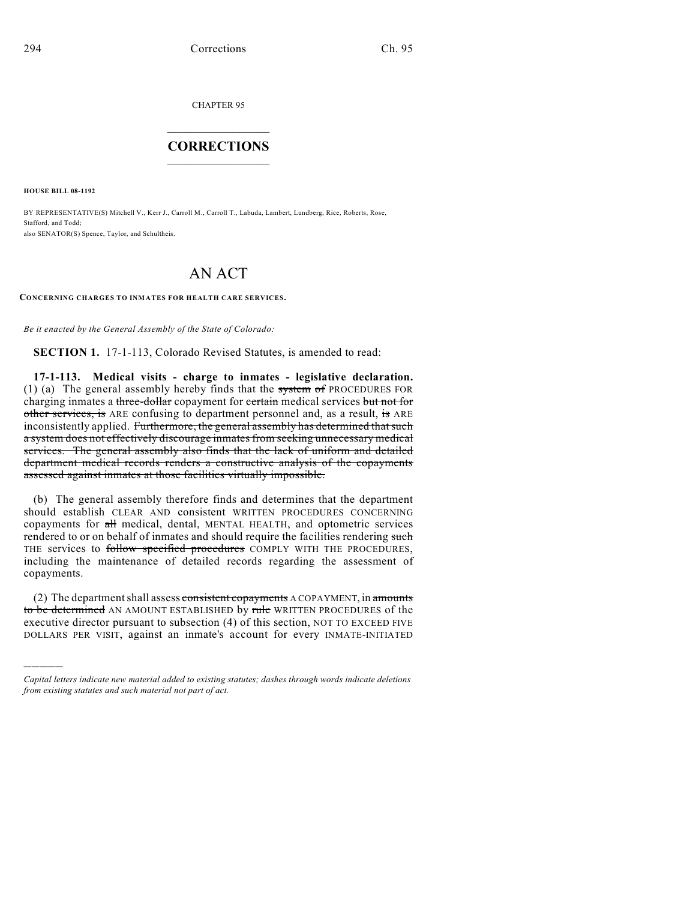CHAPTER 95

## $\overline{\phantom{a}}$  . The set of the set of the set of the set of the set of the set of the set of the set of the set of the set of the set of the set of the set of the set of the set of the set of the set of the set of the set o **CORRECTIONS**  $\frac{1}{2}$  ,  $\frac{1}{2}$  ,  $\frac{1}{2}$  ,  $\frac{1}{2}$  ,  $\frac{1}{2}$  ,  $\frac{1}{2}$

**HOUSE BILL 08-1192**

)))))

BY REPRESENTATIVE(S) Mitchell V., Kerr J., Carroll M., Carroll T., Labuda, Lambert, Lundberg, Rice, Roberts, Rose, Stafford, and Todd; also SENATOR(S) Spence, Taylor, and Schultheis.

## AN ACT

**CONCERNING CHARGES TO INMATES FOR HEALTH CARE SERVICES.**

*Be it enacted by the General Assembly of the State of Colorado:*

**SECTION 1.** 17-1-113, Colorado Revised Statutes, is amended to read:

**17-1-113. Medical visits - charge to inmates - legislative declaration.** (1) (a) The general assembly hereby finds that the system of PROCEDURES FOR charging inmates a three-dollar copayment for certain medical services but not for other services, is ARE confusing to department personnel and, as a result, is ARE inconsistently applied. Furthermore, the general assembly has determined that such a system does not effectively discourage inmates from seeking unnecessary medical services. The general assembly also finds that the lack of uniform and detailed department medical records renders a constructive analysis of the copayments assessed against inmates at those facilities virtually impossible.

(b) The general assembly therefore finds and determines that the department should establish CLEAR AND consistent WRITTEN PROCEDURES CONCERNING copayments for all medical, dental, MENTAL HEALTH, and optometric services rendered to or on behalf of inmates and should require the facilities rendering such THE services to follow specified procedures COMPLY WITH THE PROCEDURES, including the maintenance of detailed records regarding the assessment of copayments.

(2) The department shall assess consistent copayments A COPAYMENT, in amounts to be determined AN AMOUNT ESTABLISHED by rule WRITTEN PROCEDURES of the executive director pursuant to subsection (4) of this section, NOT TO EXCEED FIVE DOLLARS PER VISIT, against an inmate's account for every INMATE-INITIATED

*Capital letters indicate new material added to existing statutes; dashes through words indicate deletions from existing statutes and such material not part of act.*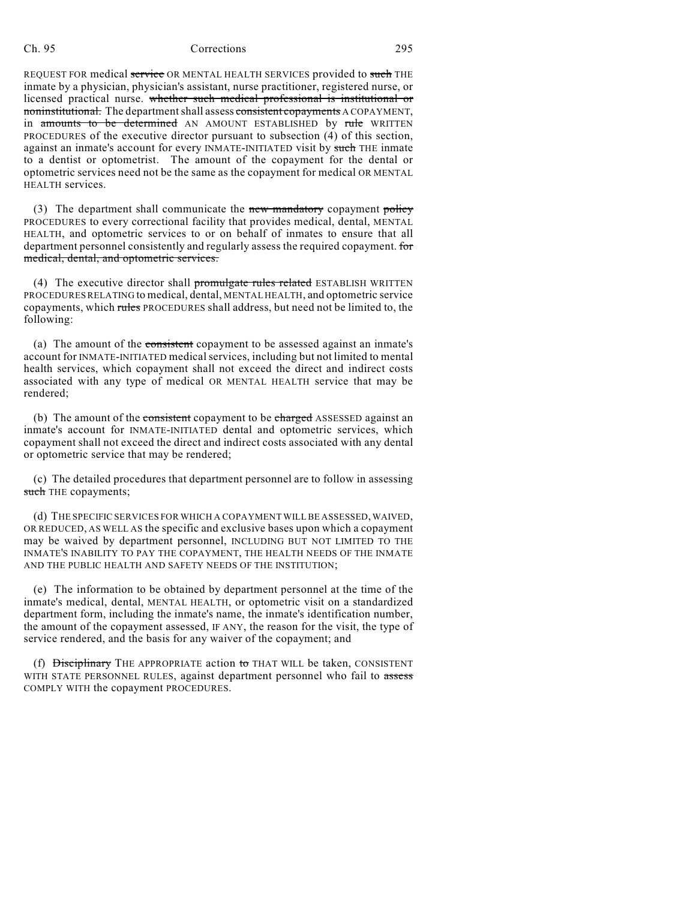## Ch. 95 Corrections 295

REQUEST FOR medical service OR MENTAL HEALTH SERVICES provided to such THE inmate by a physician, physician's assistant, nurse practitioner, registered nurse, or licensed practical nurse. whether such medical professional is institutional or noninstitutional. The department shall assess consistent copayments A COPAYMENT, in amounts to be determined AN AMOUNT ESTABLISHED by rule WRITTEN PROCEDURES of the executive director pursuant to subsection (4) of this section, against an inmate's account for every INMATE-INITIATED visit by such THE inmate to a dentist or optometrist. The amount of the copayment for the dental or optometric services need not be the same as the copayment for medical OR MENTAL HEALTH services.

(3) The department shall communicate the new mandatory copayment policy PROCEDURES to every correctional facility that provides medical, dental, MENTAL HEALTH, and optometric services to or on behalf of inmates to ensure that all department personnel consistently and regularly assess the required copayment. for medical, dental, and optometric services.

(4) The executive director shall promulgate rules related ESTABLISH WRITTEN PROCEDURES RELATING to medical, dental, MENTAL HEALTH, and optometric service copayments, which rules PROCEDURES shall address, but need not be limited to, the following:

(a) The amount of the consistent copayment to be assessed against an inmate's account for INMATE-INITIATED medical services, including but not limited to mental health services, which copayment shall not exceed the direct and indirect costs associated with any type of medical OR MENTAL HEALTH service that may be rendered;

(b) The amount of the consistent copayment to be charged ASSESSED against an inmate's account for INMATE-INITIATED dental and optometric services, which copayment shall not exceed the direct and indirect costs associated with any dental or optometric service that may be rendered;

(c) The detailed procedures that department personnel are to follow in assessing such THE copayments;

(d) THE SPECIFIC SERVICES FOR WHICH A COPAYMENT WILL BE ASSESSED, WAIVED, OR REDUCED, AS WELL AS the specific and exclusive bases upon which a copayment may be waived by department personnel, INCLUDING BUT NOT LIMITED TO THE INMATE'S INABILITY TO PAY THE COPAYMENT, THE HEALTH NEEDS OF THE INMATE AND THE PUBLIC HEALTH AND SAFETY NEEDS OF THE INSTITUTION;

(e) The information to be obtained by department personnel at the time of the inmate's medical, dental, MENTAL HEALTH, or optometric visit on a standardized department form, including the inmate's name, the inmate's identification number, the amount of the copayment assessed, IF ANY, the reason for the visit, the type of service rendered, and the basis for any waiver of the copayment; and

(f)  $\overline{Disciplinary}$  THE APPROPRIATE action to THAT WILL be taken, CONSISTENT WITH STATE PERSONNEL RULES, against department personnel who fail to assess COMPLY WITH the copayment PROCEDURES.